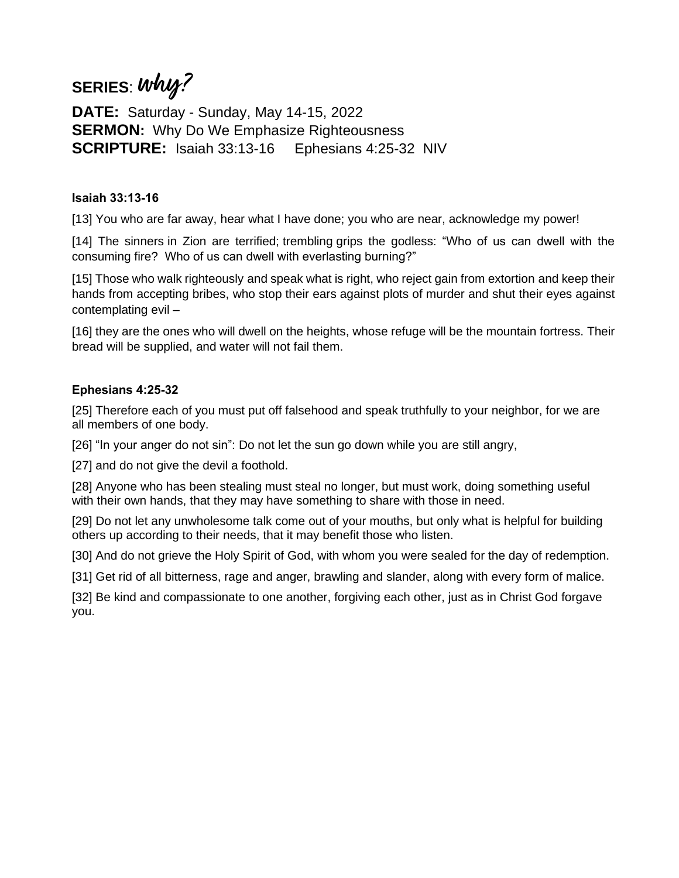# **SERIES**: **why?**

**DATE:** Saturday - Sunday, May 14-15, 2022 **SERMON:** Why Do We Emphasize Righteousness **SCRIPTURE:** Isaiah 33:13-16 Ephesians 4:25-32 NIV

## **Isaiah 33:13-16**

[13] You who are far away, hear what I have done; you who are near, acknowledge my power!

[14] The sinners in Zion are terrified; trembling grips the godless: "Who of us can dwell with the consuming fire? Who of us can dwell with everlasting burning?"

[15] Those who walk righteously and speak what is right, who reject gain from extortion and keep their hands from accepting bribes, who stop their ears against plots of murder and shut their eyes against contemplating evil –

[16] they are the ones who will dwell on the heights, whose refuge will be the mountain fortress. Their bread will be supplied, and water will not fail them.

## **Ephesians 4:25-32**

[25] Therefore each of you must put off falsehood and speak truthfully to your neighbor, for we are all members of one body.

[26] "In your anger do not sin": Do not let the sun go down while you are still angry,

[27] and do not give the devil a foothold.

[28] Anyone who has been stealing must steal no longer, but must work, doing something useful with their own hands, that they may have something to share with those in need.

[29] Do not let any unwholesome talk come out of your mouths, but only what is helpful for building others up according to their needs, that it may benefit those who listen.

[30] And do not grieve the Holy Spirit of God, with whom you were sealed for the day of redemption.

[31] Get rid of all bitterness, rage and anger, brawling and slander, along with every form of malice.

[32] Be kind and compassionate to one another, forgiving each other, just as in Christ God forgave you.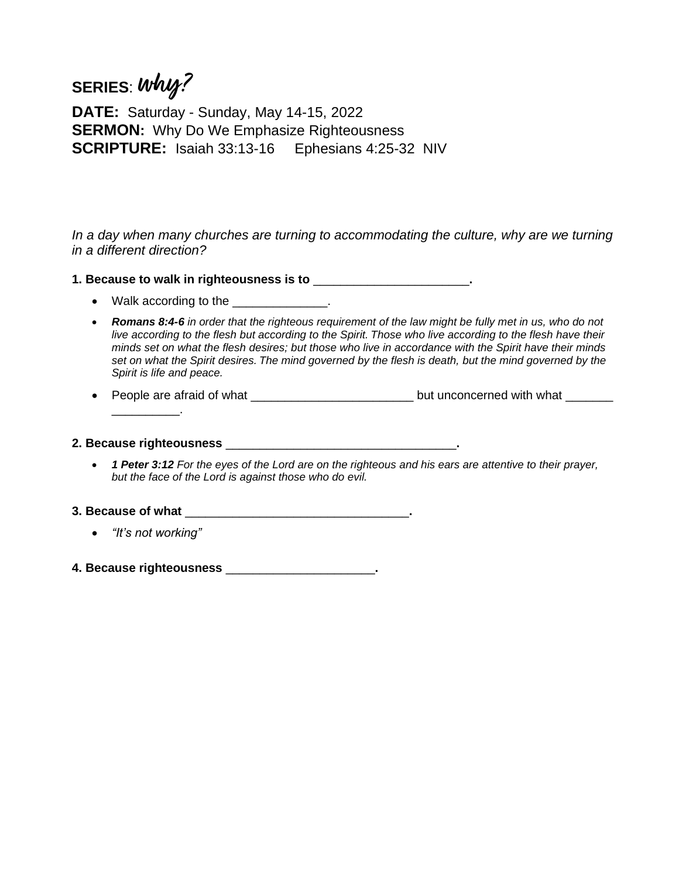## **SERIES**: **why?**

**DATE:** Saturday - Sunday, May 14-15, 2022 **SERMON:** Why Do We Emphasize Righteousness **SCRIPTURE:** Isaiah 33:13-16 Ephesians 4:25-32 NIV

In a day when many churches are turning to accommodating the culture, why are we turning *in a different direction?*

**1. Because to walk in righteousness is to** \_\_\_\_\_\_\_\_\_\_\_\_\_\_\_\_\_\_\_\_\_\_\_**.**

- Walk according to the <u>equal</u> to the the state of the state of the state of the state of the state of the state of the state of the state of the state of the state of the state of the state of the state of the state of t
- *Romans 8:4-6 in order that the righteous requirement of the law might be fully met in us, who do not live according to the flesh but according to the Spirit. Those who live according to the flesh have their minds set on what the flesh desires; but those who live in accordance with the Spirit have their minds set on what the Spirit desires. The mind governed by the flesh is death, but the mind governed by the Spirit is life and peace.*
- People are afraid of what \_\_\_\_\_\_\_\_\_\_\_\_\_\_\_\_\_\_\_\_\_\_\_\_\_\_\_\_\_\_but unconcerned with what \_\_\_\_\_\_\_

### **2. Because righteousness** \_\_\_\_\_\_\_\_\_\_\_\_\_\_\_\_\_\_\_\_\_\_\_\_\_\_\_\_\_\_\_\_\_\_**.**

 $\mathcal{L}$ 

• *1 Peter 3:12 For the eyes of the Lord are on the righteous and his ears are attentive to their prayer, but the face of the Lord is against those who do evil.*

### **3. Because of what** \_\_\_\_\_\_\_\_\_\_\_\_\_\_\_\_\_\_\_\_\_\_\_\_\_\_\_\_\_\_\_\_\_**.**

- *"It's not working"*
- **4. Because righteousness** \_\_\_\_\_\_\_\_\_\_\_\_\_\_\_\_\_\_\_\_\_\_**.**